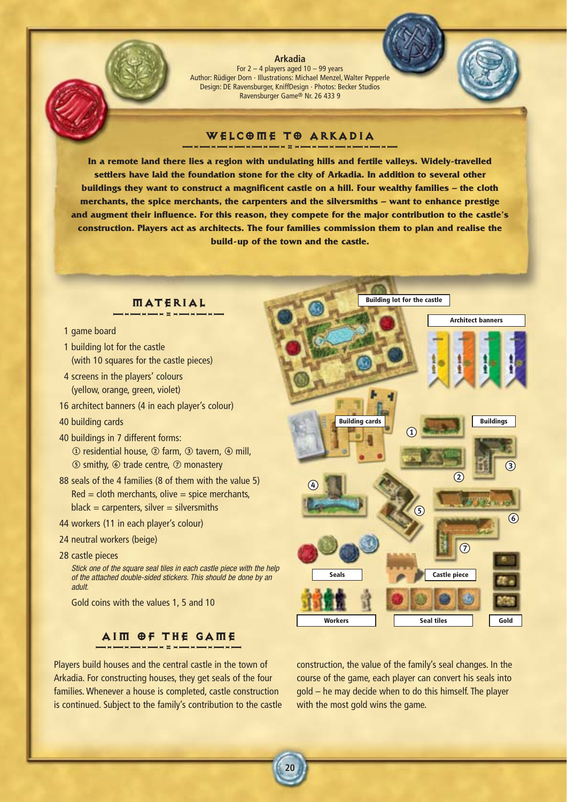**Arkadia** For  $2 - 4$  players aged  $10 - 99$  years Author: Rüdiger Dorn · Illustrations: Michael Menzel, Walter Pepperle Design: DE Ravensburger, KniffDesign · Photos: Becker Studios Ravensburger Game® Nr. 26 433 9

# WELCOME TO ARKADIA

**In a remote land there lies a region with undulating hills and fertile valleys. Widely-travelled settlers have laid the foundation stone for the city of Arkadia. In addition to several other buildings they want to construct a magnificent castle on a hill. Four wealthy families – the cloth merchants, the spice merchants, the carpenters and the silversmiths – want to enhance prestige and augment their influence. For this reason, they compete for the major contribution to the castle's construction. Players act as architects. The four families commission them to plan and realise the build-up of the town and the castle.**

**20**

# MATERIAL

- 1 game board
- 1 building lot for the castle (with 10 squares for the castle pieces)
- 4 screens in the players' colours (yellow, orange, green, violet)
- 16 architect banners (4 in each player's colour)
- 40 building cards
- 40 buildings in 7 different forms:  $\circled{1}$  residential house,  $\circled{2}$  farm,  $\circled{3}$  tavern,  $\circled{4}$  mill, 5 smithy, 6 trade centre, 7 monastery
- 88 seals of the 4 families (8 of them with the value 5)  $Red = cloth$  merchants, olive  $=$  spice merchants,  $black =$  carpenters, silver  $=$  silversmiths
- 44 workers (11 in each player's colour)
- 24 neutral workers (beige)
- 28 castle pieces

*Stick one of the square seal tiles in each castle piece with the help of the attached double-sided stickers. This should be done by an adult.*

Gold coins with the values 1, 5 and 10

# AIM OF THE GAME

Players build houses and the central castle in the town of Arkadia. For constructing houses, they get seals of the four families. Whenever a house is completed, castle construction is continued. Subject to the family's contribution to the castle





construction, the value of the family's seal changes. In the course of the game, each player can convert his seals into gold – he may decide when to do this himself. The player with the most gold wins the game.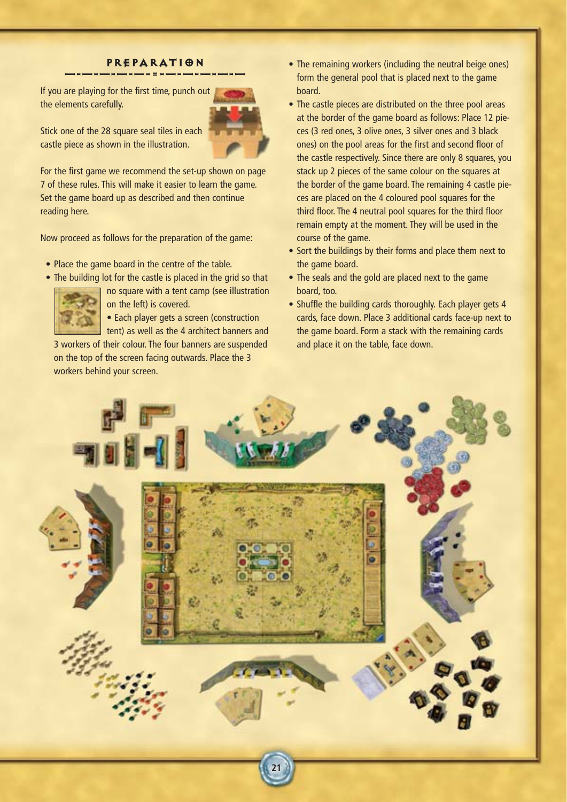# PREPARATION

If you are playing for the first time, punch out the elements carefully.



Stick one of the 28 square seal tiles in each castle piece as shown in the illustration.

For the first game we recommend the set-up shown on page 7 of these rules. This will make it easier to learn the game. Set the game board up as described and then continue reading here.

Now proceed as follows for the preparation of the game:

- Place the game board in the centre of the table.
- The building lot for the castle is placed in the grid so that



no square with a tent camp (see illustration on the left) is covered.

• Each player gets a screen (construction tent) as well as the 4 architect banners and

3 workers of their colour. The four banners are suspended on the top of the screen facing outwards. Place the 3 workers behind your screen.

- The remaining workers (including the neutral beige ones) form the general pool that is placed next to the game board.
- The castle pieces are distributed on the three pool areas at the border of the game board as follows: Place 12 pieces (3 red ones, 3 olive ones, 3 silver ones and 3 black ones) on the pool areas for the first and second floor of the castle respectively. Since there are only 8 squares, you stack up 2 pieces of the same colour on the squares at the border of the game board. The remaining 4 castle pieces are placed on the 4 coloured pool squares for the third floor. The 4 neutral pool squares for the third floor remain empty at the moment. They will be used in the course of the game.
- Sort the buildings by their forms and place them next to the game board.
- The seals and the gold are placed next to the game board, too.
- Shuffle the building cards thoroughly. Each player gets 4 cards, face down. Place 3 additional cards face-up next to the game board. Form a stack with the remaining cards and place it on the table, face down.

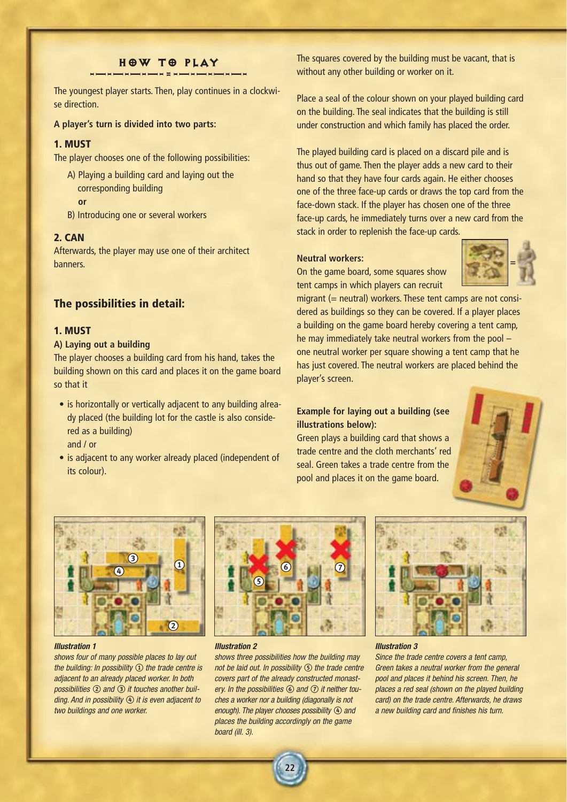# HOW TO PLAY

-—-—-—-—-=-—-—-—-—-

The youngest player starts. Then, play continues in a clockwise direction.

**A player's turn is divided into two parts:**

## **1. MUST**

The player chooses one of the following possibilities:

A) Playing a building card and laying out the corresponding building

**or**

B) Introducing one or several workers

## **2. CAN**

Afterwards, the player may use one of their architect banners.

## **The possibilities in detail:**

# **1. MUST**

## **A) Laying out a building**

The player chooses a building card from his hand, takes the building shown on this card and places it on the game board so that it

- is horizontally or vertically adjacent to any building already placed (the building lot for the castle is also considered as a building) and / or
- is adjacent to any worker already placed (independent of its colour).

The squares covered by the building must be vacant, that is without any other building or worker on it.

Place a seal of the colour shown on your played building card on the building. The seal indicates that the building is still under construction and which family has placed the order.

The played building card is placed on a discard pile and is thus out of game. Then the player adds a new card to their hand so that they have four cards again. He either chooses one of the three face-up cards or draws the top card from the face-down stack. If the player has chosen one of the three face-up cards, he immediately turns over a new card from the stack in order to replenish the face-up cards.

### **Neutral workers:**

On the game board, some squares show tent camps in which players can recruit



migrant (= neutral) workers. These tent camps are not considered as buildings so they can be covered. If a player places a building on the game board hereby covering a tent camp, he may immediately take neutral workers from the pool – one neutral worker per square showing a tent camp that he has just covered. The neutral workers are placed behind the player's screen.

# **Example for laying out a building (see illustrations below):**

Green plays a building card that shows a trade centre and the cloth merchants' red seal. Green takes a trade centre from the pool and places it on the game board.





#### *Illustration 1*

*shows four of many possible places to lay out the building: In possibility ① the trade centre is adjacent to an already placed worker. In both possibilities* 2*and* 3*it touches another building. And in possibility* 4*it is even adjacent to two buildings and one worker.*



#### *Illustration 2*

*shows three possibilities how the building may not be laid out. In possibility* 5*the trade centre covers part of the already constructed monastery. In the possibilities* 6*and* 7*it neither touches a worker nor a building (diagonally is not enough). The player chooses possibility*  $\Phi$  *and places the building accordingly on the game board (ill. 3).*

**22**



#### *Illustration 3*

*Since the trade centre covers a tent camp, Green takes a neutral worker from the general pool and places it behind his screen. Then, he places a red seal (shown on the played building card) on the trade centre. Afterwards, he draws a new building card and finishes his turn.*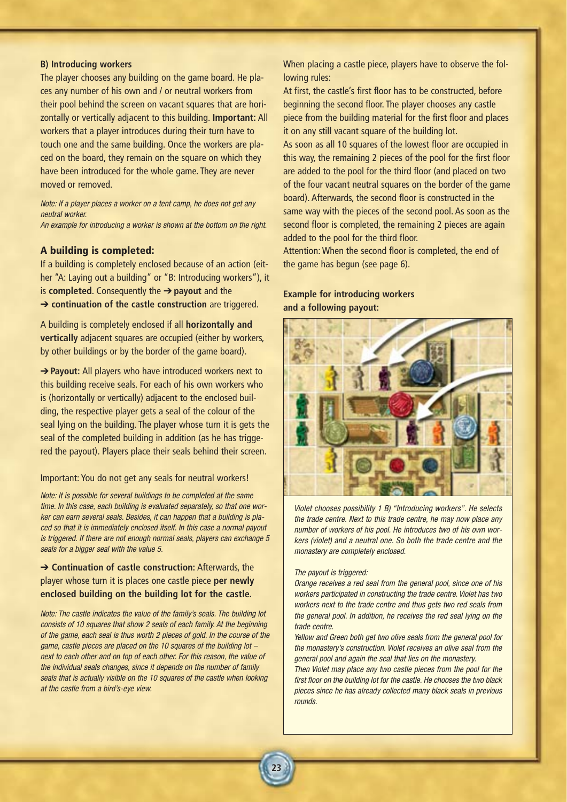### **B) Introducing workers**

The player chooses any building on the game board. He places any number of his own and / or neutral workers from their pool behind the screen on vacant squares that are horizontally or vertically adjacent to this building. **Important:** All workers that a player introduces during their turn have to touch one and the same building. Once the workers are placed on the board, they remain on the square on which they have been introduced for the whole game. They are never moved or removed.

*Note: If a player places a worker on a tent camp, he does not get any neutral worker. An example for introducing a worker is shown at the bottom on the right.*

## **A building is completed:**

If a building is completely enclosed because of an action (either "A: Laying out a building" or "B: Introducing workers"), it is **completed**. Consequently the ➔ **payout** and the ➔ **continuation of the castle construction** are triggered.

A building is completely enclosed if all **horizontally and vertically** adjacent squares are occupied (either by workers, by other buildings or by the border of the game board).

➔ **Payout:** All players who have introduced workers next to this building receive seals. For each of his own workers who is (horizontally or vertically) adjacent to the enclosed building, the respective player gets a seal of the colour of the seal lying on the building. The player whose turn it is gets the seal of the completed building in addition (as he has triggered the payout). Players place their seals behind their screen.

### Important: You do not get any seals for neutral workers!

*Note: It is possible for several buildings to be completed at the same time. In this case, each building is evaluated separately, so that one worker can earn several seals. Besides, it can happen that a building is placed so that it is immediately enclosed itself. In this case a normal payout is triggered. If there are not enough normal seals, players can exchange 5 seals for a bigger seal with the value 5.*

# ➔ **Continuation of castle construction:** Afterwards, the player whose turn it is places one castle piece **per newly enclosed building on the building lot for the castle.**

*Note: The castle indicates the value of the family's seals. The building lot consists of 10 squares that show 2 seals of each family. At the beginning of the game, each seal is thus worth 2 pieces of gold. In the course of the game, castle pieces are placed on the 10 squares of the building lot – next to each other and on top of each other. For this reason, the value of the individual seals changes, since it depends on the number of family seals that is actually visible on the 10 squares of the castle when looking at the castle from a bird's-eye view.*

When placing a castle piece, players have to observe the following rules:

At first, the castle's first floor has to be constructed, before beginning the second floor. The player chooses any castle piece from the building material for the first floor and places it on any still vacant square of the building lot.

As soon as all 10 squares of the lowest floor are occupied in this way, the remaining 2 pieces of the pool for the first floor are added to the pool for the third floor (and placed on two of the four vacant neutral squares on the border of the game board). Afterwards, the second floor is constructed in the same way with the pieces of the second pool. As soon as the second floor is completed, the remaining 2 pieces are again added to the pool for the third floor.

Attention: When the second floor is completed, the end of the game has begun (see page 6).

## **Example for introducing workers and a following payout:**



*Violet chooses possibility 1 B) "Introducing workers". He selects the trade centre. Next to this trade centre, he may now place any number of workers of his pool. He introduces two of his own workers (violet) and a neutral one. So both the trade centre and the monastery are completely enclosed.*

#### *The payout is triggered:*

**23**

*Orange receives a red seal from the general pool, since one of his workers participated in constructing the trade centre. Violet has two workers next to the trade centre and thus gets two red seals from the general pool. In addition, he receives the red seal lying on the trade centre.*

*Yellow and Green both get two olive seals from the general pool for the monastery's construction. Violet receives an olive seal from the general pool and again the seal that lies on the monastery.*

*Then Violet may place any two castle pieces from the pool for the first floor on the building lot for the castle. He chooses the two black pieces since he has already collected many black seals in previous rounds.*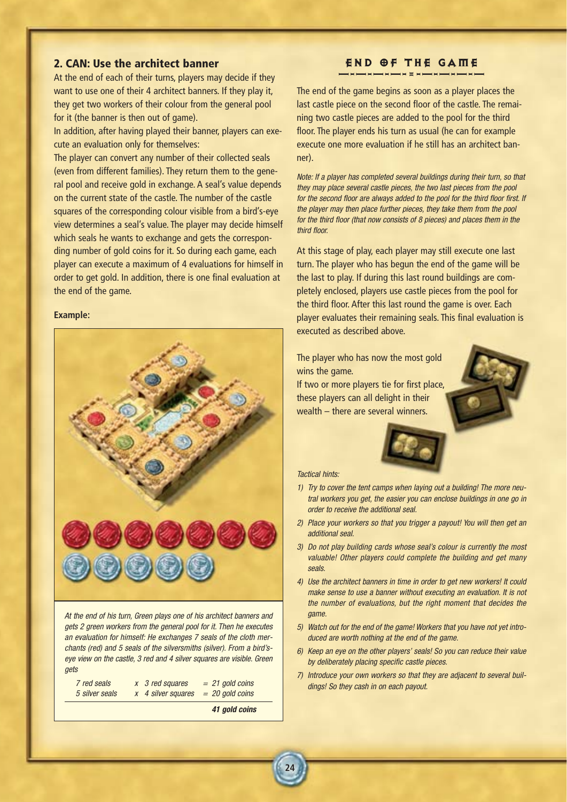## **2. CAN: Use the architect banner**

At the end of each of their turns, players may decide if they want to use one of their 4 architect banners. If they play it, they get two workers of their colour from the general pool for it (the banner is then out of game).

In addition, after having played their banner, players can execute an evaluation only for themselves:

The player can convert any number of their collected seals (even from different families). They return them to the general pool and receive gold in exchange. A seal's value depends on the current state of the castle. The number of the castle squares of the corresponding colour visible from a bird's-eye view determines a seal's value. The player may decide himself which seals he wants to exchange and gets the corresponding number of gold coins for it. So during each game, each player can execute a maximum of 4 evaluations for himself in order to get gold. In addition, there is one final evaluation at the end of the game.

#### **Example:**



*At the end of his turn, Green plays one of his architect banners and gets 2 green workers from the general pool for it. Then he executes an evaluation for himself: He exchanges 7 seals of the cloth merchants (red) and 5 seals of the silversmiths (silver). From a bird'seye view on the castle, 3 red and 4 silver squares are visible. Green gets*

| 7 red seals    | x 3 red squares    | $= 21$ gold coins |
|----------------|--------------------|-------------------|
| 5 silver seals | x 4 silver squares | $= 20$ gold coins |

*41 gold coins*

**24**

# END OF THE GAME

The end of the game begins as soon as a player places the last castle piece on the second floor of the castle. The remaining two castle pieces are added to the pool for the third floor. The player ends his turn as usual (he can for example execute one more evaluation if he still has an architect banner).

*Note: If a player has completed several buildings during their turn, so that they may place several castle pieces, the two last pieces from the pool for the second floor are always added to the pool for the third floor first. If the player may then place further pieces, they take them from the pool for the third floor (that now consists of 8 pieces) and places them in the third floor.*

At this stage of play, each player may still execute one last turn. The player who has begun the end of the game will be the last to play. If during this last round buildings are completely enclosed, players use castle pieces from the pool for the third floor. After this last round the game is over. Each player evaluates their remaining seals. This final evaluation is executed as described above.

The player who has now the most gold wins the game.

If two or more players tie for first place, these players can all delight in their wealth – there are several winners.



### *Tactical hints:*

- *1) Try to cover the tent camps when laying out a building! The more neutral workers you get, the easier you can enclose buildings in one go in order to receive the additional seal.*
- *2) Place your workers so that you trigger a payout! You will then get an additional seal.*
- *3) Do not play building cards whose seal's colour is currently the most valuable! Other players could complete the building and get many seals.*
- *4) Use the architect banners in time in order to get new workers! It could make sense to use a banner without executing an evaluation. It is not the number of evaluations, but the right moment that decides the game.*
- *5) Watch out for the end of the game! Workers that you have not yet introduced are worth nothing at the end of the game.*
- *6) Keep an eye on the other players' seals! So you can reduce their value by deliberately placing specific castle pieces.*
- *7) Introduce your own workers so that they are adjacent to several buildings! So they cash in on each payout.*